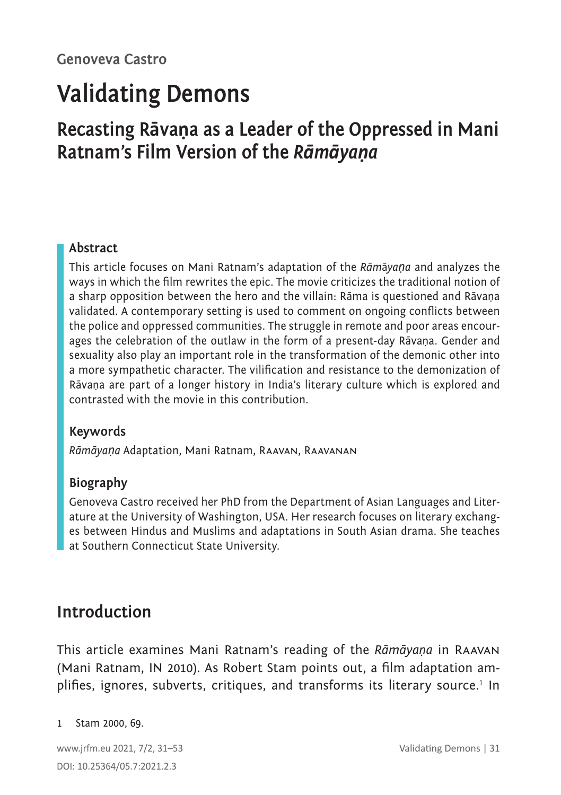# **Validating Demons**

## **Recasting Rāvaṇa as a Leader of the Oppressed in Mani Ratnam's Film Version of the** *Rāmāyaṇa*

#### **Abstract**

This article focuses on Mani Ratnam's adaptation of the *Rām*ā*yaṇa* and analyzes the ways in which the film rewrites the epic. The movie criticizes the traditional notion of a sharp opposition between the hero and the villain: Rāma is questioned and Rāvaṇa validated. A contemporary setting is used to comment on ongoing conflicts between the police and oppressed communities. The struggle in remote and poor areas encourages the celebration of the outlaw in the form of a present-day Rāvaṇa. Gender and sexuality also play an important role in the transformation of the demonic other into a more sympathetic character. The vilification and resistance to the demonization of Rāvaṇa are part of a longer history in India's literary culture which is explored and contrasted with the movie in this contribution.

#### **Keywords**

*Rāmāyaṇa* Adaptation, Mani Ratnam, Raavan, Raavanan

#### **Biography**

Genoveva Castro received her PhD from the Department of Asian Languages and Literature at the University of Washington, USA. Her research focuses on literary exchanges between Hindus and Muslims and adaptations in South Asian drama. She teaches at Southern Connecticut State University.

### **Introduction**

This article examines Mani Ratnam's reading of the *Rāmāyaṇa* in Raavan (Mani Ratnam, IN 2010). As Robert Stam points out, a film adaptation amplifies, ignores, subverts, critiques, and transforms its literary source.<sup>1</sup> In

#### 1 Stam 2000, 69.

www.jrfm.eu 2021, 7/2, 31–53 Validating Demons | 31 DOI: 10.25364/05.7:2021.2.3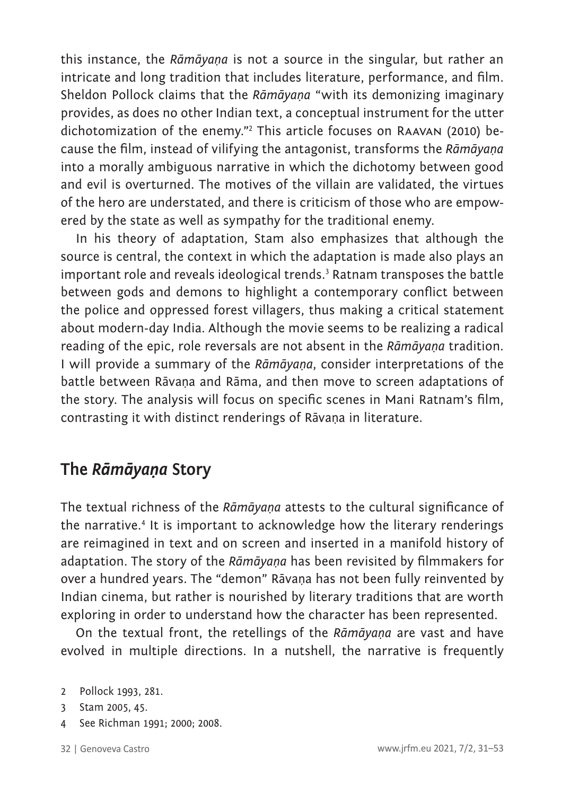this instance, the *Rāmāyaṇa* is not a source in the singular, but rather an intricate and long tradition that includes literature, performance, and film. Sheldon Pollock claims that the *Rāmāyaṇa* "with its demonizing imaginary provides, as does no other Indian text, a conceptual instrument for the utter dichotomization of the enemy."<sup>2</sup> This article focuses on Raavan (2010) because the film, instead of vilifying the antagonist, transforms the *Rāmāyaṇa* into a morally ambiguous narrative in which the dichotomy between good and evil is overturned. The motives of the villain are validated, the virtues of the hero are understated, and there is criticism of those who are empowered by the state as well as sympathy for the traditional enemy.

In his theory of adaptation, Stam also emphasizes that although the source is central, the context in which the adaptation is made also plays an important role and reveals ideological trends.<sup>3</sup> Ratnam transposes the battle between gods and demons to highlight a contemporary conflict between the police and oppressed forest villagers, thus making a critical statement about modern-day India. Although the movie seems to be realizing a radical reading of the epic, role reversals are not absent in the *Rāmāyaṇa* tradition. I will provide a summary of the *Rāmāyaṇa*, consider interpretations of the battle between Rāvaṇa and Rāma, and then move to screen adaptations of the story. The analysis will focus on specific scenes in Mani Ratnam's film, contrasting it with distinct renderings of Rāvaṇa in literature.

### **The** *Rāmāyaṇa* **Story**

The textual richness of the *Rāmāyaṇa* attests to the cultural significance of the narrative.<sup>4</sup> It is important to acknowledge how the literary renderings are reimagined in text and on screen and inserted in a manifold history of adaptation. The story of the *Rāmāyaṇa* has been revisited by filmmakers for over a hundred years. The "demon" Rāvaṇa has not been fully reinvented by Indian cinema, but rather is nourished by literary traditions that are worth exploring in order to understand how the character has been represented.

On the textual front, the retellings of the *Rāmāyaṇa* are vast and have evolved in multiple directions. In a nutshell, the narrative is frequently

- 3 Stam 2005, 45.
- See Richman 1991; 2000; 2008.

<sup>2</sup> Pollock 1993, 281.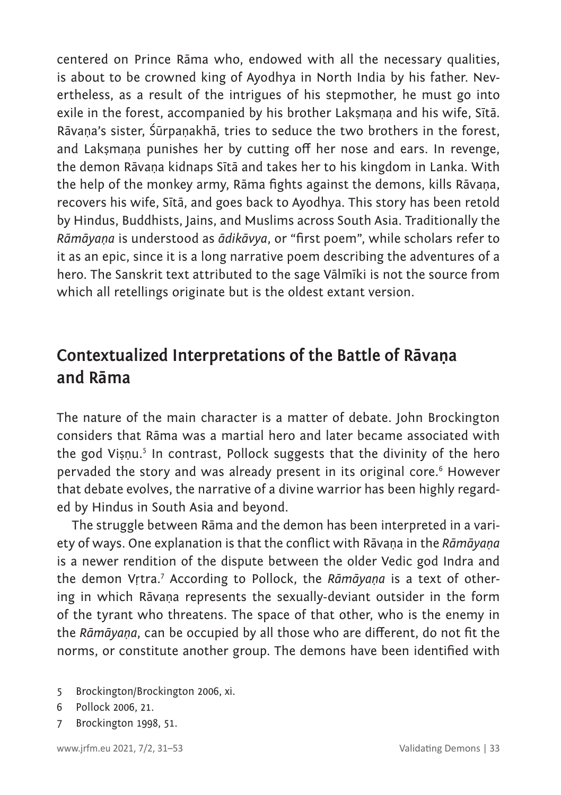centered on Prince Rāma who, endowed with all the necessary qualities, is about to be crowned king of Ayodhya in North India by his father. Nevertheless, as a result of the intrigues of his stepmother, he must go into exile in the forest, accompanied by his brother Lakṣmaṇa and his wife, Sītā. Rāvaṇa's sister, Śūrpaṇakhā, tries to seduce the two brothers in the forest, and Laksmana punishes her by cutting off her nose and ears. In revenge, the demon Rāvaṇa kidnaps Sītā and takes her to his kingdom in Lanka. With the help of the monkey army, Rāma fights against the demons, kills Rāvaṇa, recovers his wife, Sītā, and goes back to Ayodhya. This story has been retold by Hindus, Buddhists, Jains, and Muslims across South Asia. Traditionally the *Rāmāyaṇa* is understood as *ādikāvya*, or "first poem", while scholars refer to it as an epic, since it is a long narrative poem describing the adventures of a hero. The Sanskrit text attributed to the sage Vālmīki is not the source from which all retellings originate but is the oldest extant version.

### **Contextualized Interpretations of the Battle of Rāvaṇa and Rāma**

The nature of the main character is a matter of debate. John Brockington considers that Rāma was a martial hero and later became associated with the god Viṣṇu.<sup>5</sup> In contrast, Pollock suggests that the divinity of the hero pervaded the story and was already present in its original core.<sup>6</sup> However that debate evolves, the narrative of a divine warrior has been highly regarded by Hindus in South Asia and beyond.

The struggle between Rāma and the demon has been interpreted in a variety of ways. One explanation is that the conflict with Rāvaṇa in the *Rāmāyaṇa* is a newer rendition of the dispute between the older Vedic god Indra and the demon Vṛtra.<sup>7</sup> According to Pollock, the *Rāmāyaṇa* is a text of othering in which Rāvaṇa represents the sexually-deviant outsider in the form of the tyrant who threatens. The space of that other, who is the enemy in the *Rāmāyaṇa*, can be occupied by all those who are different, do not fit the norms, or constitute another group. The demons have been identified with

- 5 Brockington/Brockington 2006, xi.
- 6 Pollock 2006, 21.
- 7 Brockington 1998, 51.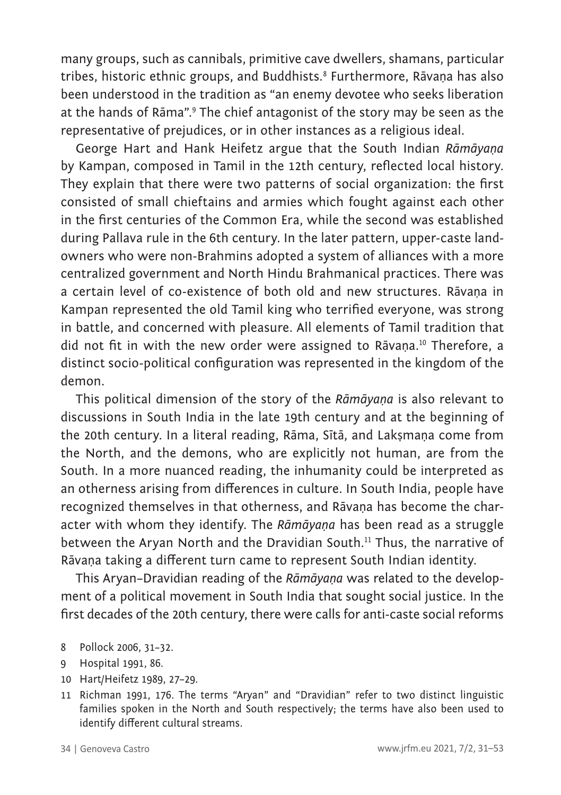many groups, such as cannibals, primitive cave dwellers, shamans, particular tribes, historic ethnic groups, and Buddhists.<sup>8</sup> Furthermore, Rāvaṇa has also been understood in the tradition as "an enemy devotee who seeks liberation at the hands of Rāma".<sup>9</sup> The chief antagonist of the story may be seen as the representative of prejudices, or in other instances as a religious ideal.

George Hart and Hank Heifetz argue that the South Indian *Rāmāyaṇa* by Kampan, composed in Tamil in the 12th century, reflected local history. They explain that there were two patterns of social organization: the first consisted of small chieftains and armies which fought against each other in the first centuries of the Common Era, while the second was established during Pallava rule in the 6th century. In the later pattern, upper-caste landowners who were non-Brahmins adopted a system of alliances with a more centralized government and North Hindu Brahmanical practices. There was a certain level of co-existence of both old and new structures. Rāvaṇa in Kampan represented the old Tamil king who terrified everyone, was strong in battle, and concerned with pleasure. All elements of Tamil tradition that did not fit in with the new order were assigned to Rāvaṇa.10 Therefore, a distinct socio-political configuration was represented in the kingdom of the demon.

This political dimension of the story of the *Rāmāyaṇa* is also relevant to discussions in South India in the late 19th century and at the beginning of the 20th century. In a literal reading, Rāma, Sītā, and Laksmana come from the North, and the demons, who are explicitly not human, are from the South. In a more nuanced reading, the inhumanity could be interpreted as an otherness arising from differences in culture. In South India, people have recognized themselves in that otherness, and Rāvaṇa has become the character with whom they identify. The *Rāmāyaṇa* has been read as a struggle between the Arvan North and the Dravidian South.<sup>11</sup> Thus, the narrative of Rāvaṇa taking a different turn came to represent South Indian identity.

This Aryan–Dravidian reading of the *Rāmāyaṇa* was related to the development of a political movement in South India that sought social justice. In the first decades of the 20th century, there were calls for anti-caste social reforms

- 9 Hospital 1991, 86.
- 10 Hart/Heifetz 1989, 27–29.
- 11 Richman 1991, 176. The terms "Aryan" and "Dravidian" refer to two distinct linguistic families spoken in the North and South respectively; the terms have also been used to identify different cultural streams.

<sup>8</sup> Pollock 2006, 31–32.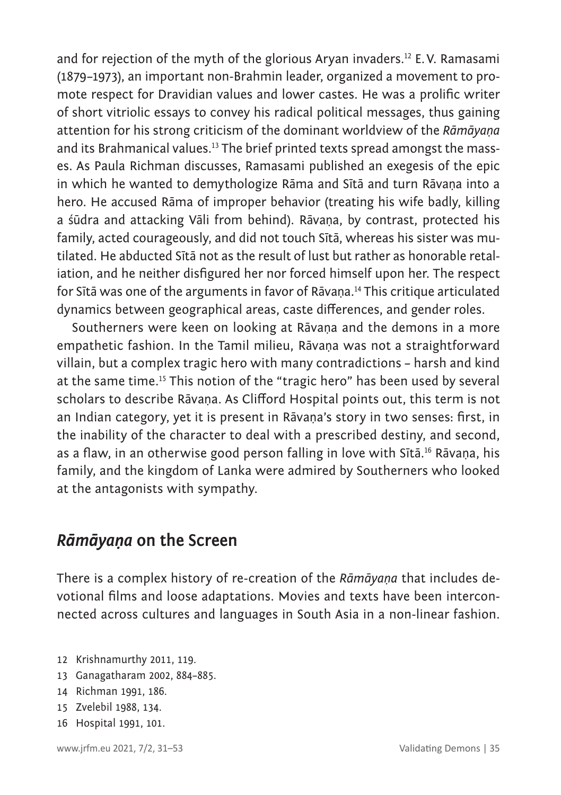and for rejection of the myth of the glorious Aryan invaders.<sup>12</sup> E.V. Ramasami (1879–1973), an important non-Brahmin leader, organized a movement to promote respect for Dravidian values and lower castes. He was a prolific writer of short vitriolic essays to convey his radical political messages, thus gaining attention for his strong criticism of the dominant worldview of the *Rāmāyaṇa* and its Brahmanical values.<sup>13</sup> The brief printed texts spread amongst the masses. As Paula Richman discusses, Ramasami published an exegesis of the epic in which he wanted to demythologize Rāma and Sītā and turn Rāvaṇa into a hero. He accused Rāma of improper behavior (treating his wife badly, killing a śūdra and attacking Vāli from behind). Rāvaṇa, by contrast, protected his family, acted courageously, and did not touch Sītā, whereas his sister was mutilated. He abducted Sītā not as the result of lust but rather as honorable retaliation, and he neither disfigured her nor forced himself upon her. The respect for Sītā was one of the arguments in favor of Rāvaṇa.14 This critique articulated dynamics between geographical areas, caste differences, and gender roles.

Southerners were keen on looking at Rāvaṇa and the demons in a more empathetic fashion. In the Tamil milieu, Rāvaṇa was not a straightforward villain, but a complex tragic hero with many contradictions – harsh and kind at the same time.15 This notion of the "tragic hero" has been used by several scholars to describe Rāvana. As Clifford Hospital points out, this term is not an Indian category, yet it is present in Rāvana's story in two senses: first, in the inability of the character to deal with a prescribed destiny, and second, as a flaw, in an otherwise good person falling in love with Sītā. <sup>16</sup> Rāvaṇa, his family, and the kingdom of Lanka were admired by Southerners who looked at the antagonists with sympathy.

### *Rāmāyaṇa* **on the Screen**

There is a complex history of re-creation of the *Rāmāyaṇa* that includes devotional films and loose adaptations. Movies and texts have been interconnected across cultures and languages in South Asia in a non-linear fashion.

- 12 Krishnamurthy 2011, 119.
- 13 Ganagatharam 2002, 884–885.
- 14 Richman 1991, 186.
- 15 Zvelebil 1988, 134.
- 16 Hospital 1991, 101.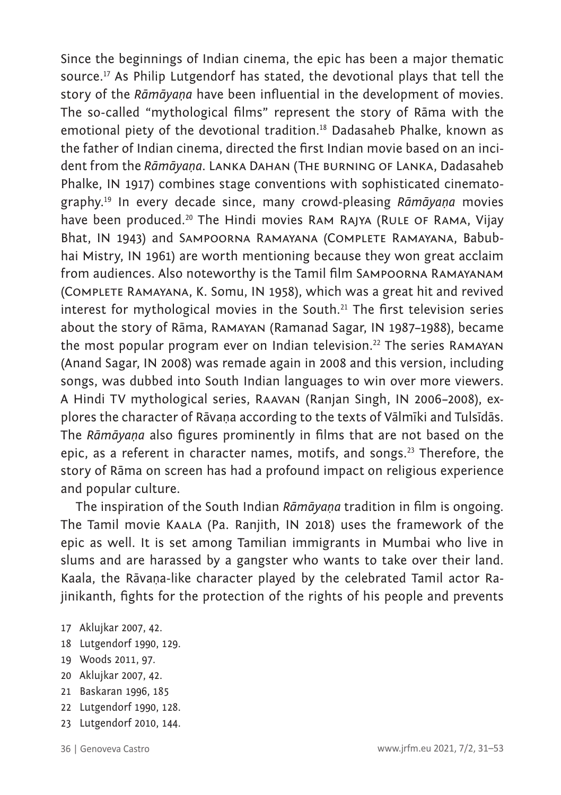Since the beginnings of Indian cinema, the epic has been a major thematic source.17 As Philip Lutgendorf has stated, the devotional plays that tell the story of the *Rāmāyaṇa* have been influential in the development of movies. The so-called "mythological films" represent the story of Rāma with the emotional piety of the devotional tradition.<sup>18</sup> Dadasaheb Phalke, known as the father of Indian cinema, directed the first Indian movie based on an incident from the *Rāmāyaṇa*. Lanka Dahan (The burning of Lanka, Dadasaheb Phalke, IN 1917) combines stage conventions with sophisticated cinematography.19 In every decade since, many crowd-pleasing *Rāmāyaṇa* movies have been produced.<sup>20</sup> The Hindi movies RAM RAJYA (RULE OF RAMA, Vijay Bhat, IN 1943) and Sampoorna Ramayana (Complete Ramayana, Babubhai Mistry, IN 1961) are worth mentioning because they won great acclaim from audiences. Also noteworthy is the Tamil film Sampoorna Ramayanam (Complete Ramayana, K. Somu, IN 1958), which was a great hit and revived interest for mythological movies in the South.<sup>21</sup> The first television series about the story of Rāma, Ramayan (Ramanad Sagar, IN 1987–1988), became the most popular program ever on Indian television.<sup>22</sup> The series RAMAYAN (Anand Sagar, IN 2008) was remade again in 2008 and this version, including songs, was dubbed into South Indian languages to win over more viewers. A Hindi TV mythological series, Raavan (Ranjan Singh, IN 2006–2008), explores the character of Rāvaṇa according to the texts of Vālmīki and Tulsīdās. The *Rāmāyaṇa* also figures prominently in films that are not based on the epic, as a referent in character names, motifs, and songs.<sup>23</sup> Therefore, the story of Rāma on screen has had a profound impact on religious experience and popular culture.

The inspiration of the South Indian *Rāmāyaṇa* tradition in film is ongoing. The Tamil movie Kaala (Pa. Ranjith, IN 2018) uses the framework of the epic as well. It is set among Tamilian immigrants in Mumbai who live in slums and are harassed by a gangster who wants to take over their land. Kaala, the Rāvaṇa-like character played by the celebrated Tamil actor Rajinikanth, fights for the protection of the rights of his people and prevents

- 17 Aklujkar 2007, 42.
- 18 Lutgendorf 1990, 129.
- 19 Woods 2011, 97.
- 20 Aklujkar 2007, 42.
- 21 Baskaran 1996, 185
- 22 Lutgendorf 1990, 128.
- 23 Lutgendorf 2010, 144.
-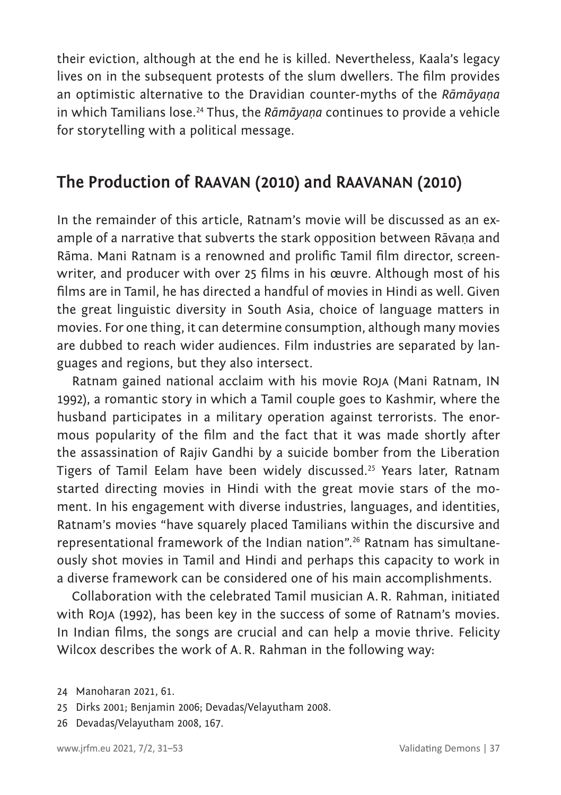their eviction, although at the end he is killed. Nevertheless, Kaala's legacy lives on in the subsequent protests of the slum dwellers. The film provides an optimistic alternative to the Dravidian counter-myths of the *Rāmāyaṇa* in which Tamilians lose.24 Thus, the *Rāmāyaṇa* continues to provide a vehicle for storytelling with a political message.

### **The Production of RAAVAN (2010) and RAAVANAN (2010)**

In the remainder of this article, Ratnam's movie will be discussed as an example of a narrative that subverts the stark opposition between Rāvaṇa and Rāma. Mani Ratnam is a renowned and prolific Tamil film director, screenwriter, and producer with over 25 films in his œuvre. Although most of his films are in Tamil, he has directed a handful of movies in Hindi as well. Given the great linguistic diversity in South Asia, choice of language matters in movies. For one thing, it can determine consumption, although many movies are dubbed to reach wider audiences. Film industries are separated by languages and regions, but they also intersect.

Ratnam gained national acclaim with his movie Roja (Mani Ratnam, IN 1992), a romantic story in which a Tamil couple goes to Kashmir, where the husband participates in a military operation against terrorists. The enormous popularity of the film and the fact that it was made shortly after the assassination of Rajiv Gandhi by a suicide bomber from the Liberation Tigers of Tamil Eelam have been widely discussed.25 Years later, Ratnam started directing movies in Hindi with the great movie stars of the moment. In his engagement with diverse industries, languages, and identities, Ratnam's movies "have squarely placed Tamilians within the discursive and representational framework of the Indian nation".26 Ratnam has simultaneously shot movies in Tamil and Hindi and perhaps this capacity to work in a diverse framework can be considered one of his main accomplishments.

Collaboration with the celebrated Tamil musician A.R. Rahman, initiated with Roja (1992), has been key in the success of some of Ratnam's movies. In Indian films, the songs are crucial and can help a movie thrive. Felicity Wilcox describes the work of A.R. Rahman in the following way:

<sup>24</sup> Manoharan 2021, 61.

<sup>25</sup> Dirks 2001; Benjamin 2006; Devadas/Velayutham 2008.

<sup>26</sup> Devadas/Velayutham 2008, 167.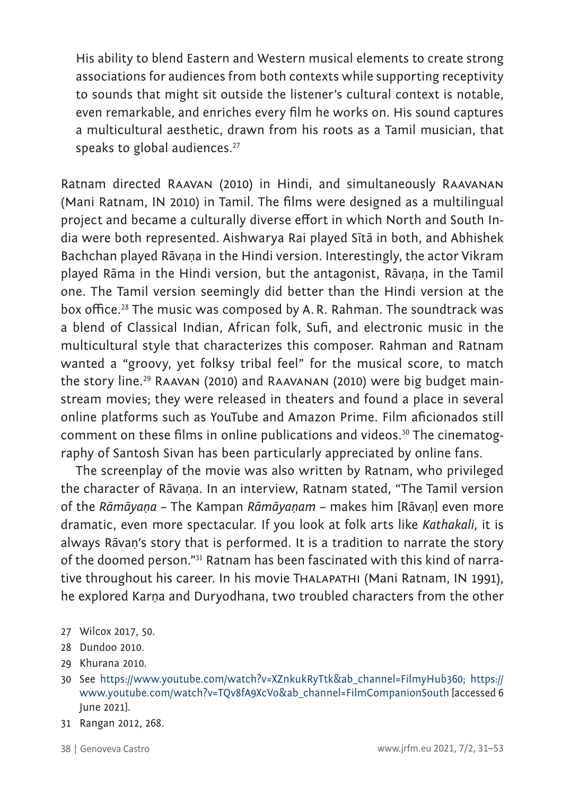His ability to blend Eastern and Western musical elements to create strong associations for audiences from both contexts while supporting receptivity to sounds that might sit outside the listener's cultural context is notable, even remarkable, and enriches every film he works on. His sound captures a multicultural aesthetic, drawn from his roots as a Tamil musician, that speaks to global audiences.<sup>27</sup>

Ratnam directed Raavan (2010) in Hindi, and simultaneously Raavanan (Mani Ratnam, IN 2010) in Tamil. The films were designed as a multilingual project and became a culturally diverse effort in which North and South India were both represented. Aishwarya Rai played Sītā in both, and Abhishek Bachchan played Rāvaṇa in the Hindi version. Interestingly, the actor Vikram played Rāma in the Hindi version, but the antagonist, Rāvaṇa, in the Tamil one. The Tamil version seemingly did better than the Hindi version at the box office.<sup>28</sup> The music was composed by A.R. Rahman. The soundtrack was a blend of Classical Indian, African folk, Sufi, and electronic music in the multicultural style that characterizes this composer. Rahman and Ratnam wanted a "groovy, yet folksy tribal feel" for the musical score, to match the story line.<sup>29</sup> RAAVAN (2010) and RAAVANAN (2010) were big budget mainstream movies; they were released in theaters and found a place in several online platforms such as YouTube and Amazon Prime. Film aficionados still comment on these films in online publications and videos.<sup>30</sup> The cinematography of Santosh Sivan has been particularly appreciated by online fans.

The screenplay of the movie was also written by Ratnam, who privileged the character of Rāvaṇa. In an interview, Ratnam stated, "The Tamil version of the *Rāmāyaṇa* – The Kampan *Rāmāyaṇam* – makes him [Rāvaṇ] even more dramatic, even more spectacular. If you look at folk arts like *Kathakali*, it is always Rāvaṇ's story that is performed. It is a tradition to narrate the story of the doomed person."31 Ratnam has been fascinated with this kind of narrative throughout his career. In his movie Thalapathi (Mani Ratnam, IN 1991), he explored Karṇa and Duryodhana, two troubled characters from the other

- 27 Wilcox 2017, 50.
- 28 Dundoo 2010.
- 29 Khurana 2010.
- 30 See [https://www.youtube.com/watch?v=XZnkukRyTtk&ab\\_channel=FilmyHub360](https://www.youtube.com/watch?v=XZnkukRyTtk&ab_channel=FilmyHub360); [https://](https://www.youtube.com/watch?v=TQv8fA9XcVo&ab_channel=FilmCompanionSouth) [www.youtube.com/watch?v=TQv8fA9XcVo&ab\\_channel=FilmCompanionSouth](https://www.youtube.com/watch?v=TQv8fA9XcVo&ab_channel=FilmCompanionSouth) [accessed 6 June 2021].
- 31 Rangan 2012, 268.
-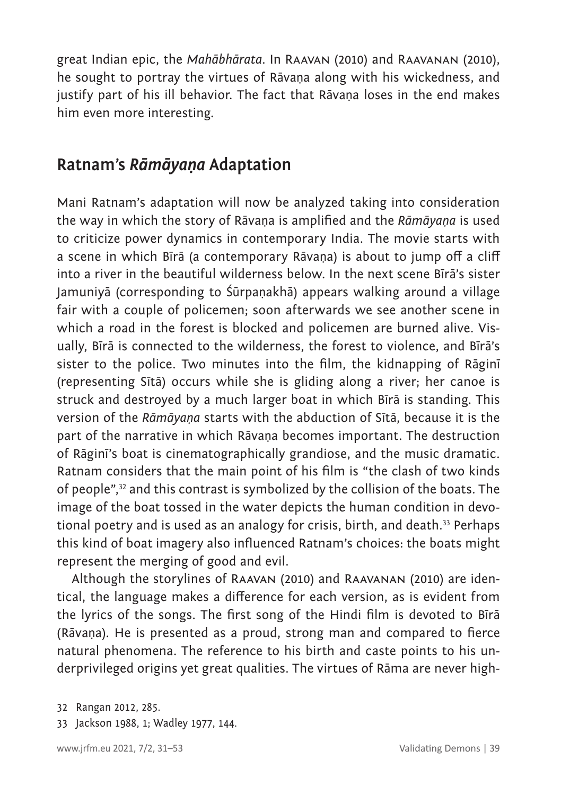great Indian epic, the *Mahābhārata*. In Raavan (2010) and Raavanan (2010), he sought to portray the virtues of Rāvaṇa along with his wickedness, and justify part of his ill behavior. The fact that Rāvaṇa loses in the end makes him even more interesting.

#### **Ratnam's** *Rāmāyaṇa* **Adaptation**

Mani Ratnam's adaptation will now be analyzed taking into consideration the way in which the story of Rāvaṇa is amplified and the *Rāmāyaṇa* is used to criticize power dynamics in contemporary India. The movie starts with a scene in which Bīrā (a contemporary Rāvaṇa) is about to jump off a cliff into a river in the beautiful wilderness below. In the next scene Bīrā's sister Jamuniyā (corresponding to Śūrpaṇakhā) appears walking around a village fair with a couple of policemen; soon afterwards we see another scene in which a road in the forest is blocked and policemen are burned alive. Visually, Bīrā is connected to the wilderness, the forest to violence, and Bīrā's sister to the police. Two minutes into the film, the kidnapping of Rāginī (representing Sītā) occurs while she is gliding along a river; her canoe is struck and destroyed by a much larger boat in which Bīrā is standing. This version of the *Rāmāyaṇa* starts with the abduction of Sītā, because it is the part of the narrative in which Rāvaṇa becomes important. The destruction of Rāginī's boat is cinematographically grandiose, and the music dramatic. Ratnam considers that the main point of his film is "the clash of two kinds of people",32 and this contrast is symbolized by the collision of the boats. The image of the boat tossed in the water depicts the human condition in devotional poetry and is used as an analogy for crisis, birth, and death.<sup>33</sup> Perhaps this kind of boat imagery also influenced Ratnam's choices: the boats might represent the merging of good and evil.

Although the storylines of Raavan (2010) and Raavanan (2010) are identical, the language makes a difference for each version, as is evident from the lyrics of the songs. The first song of the Hindi film is devoted to Bīrā (Rāvaṇa). He is presented as a proud, strong man and compared to fierce natural phenomena. The reference to his birth and caste points to his underprivileged origins yet great qualities. The virtues of Rāma are never high-

<sup>32</sup> Rangan 2012, 285.

<sup>33</sup> Jackson 1988, 1; Wadley 1977, 144.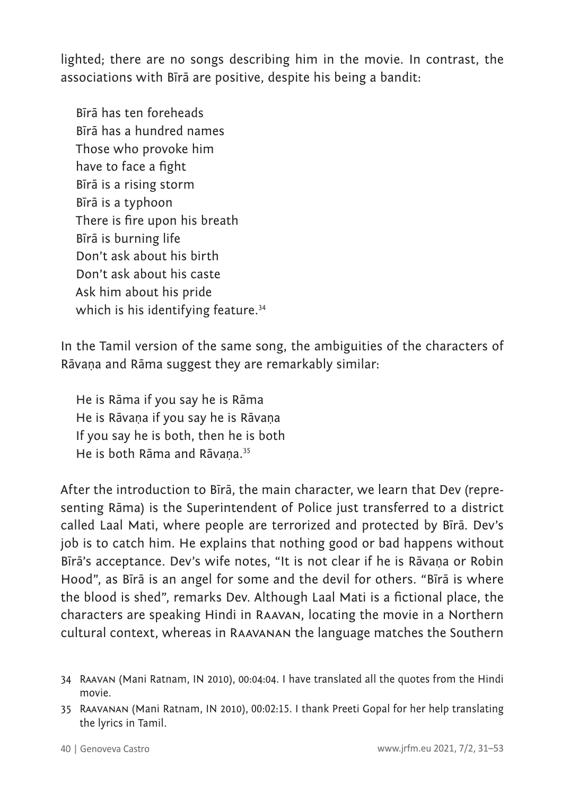lighted; there are no songs describing him in the movie. In contrast, the associations with Bīrā are positive, despite his being a bandit:

Bīrā has ten foreheads Bīrā has a hundred names Those who provoke him have to face a fight Bīrā is a rising storm Bīrā is a typhoon There is fire upon his breath Bīrā is burning life Don't ask about his birth Don't ask about his caste Ask him about his pride which is his identifying feature.<sup>34</sup>

In the Tamil version of the same song, the ambiguities of the characters of Rāvaṇa and Rāma suggest they are remarkably similar:

He is Rāma if you say he is Rāma He is Rāvaṇa if you say he is Rāvaṇa If you say he is both, then he is both He is both Rāma and Rāvana.<sup>35</sup>

After the introduction to Bīrā, the main character, we learn that Dev (representing Rāma) is the Superintendent of Police just transferred to a district called Laal Mati, where people are terrorized and protected by Bīrā. Dev's job is to catch him. He explains that nothing good or bad happens without Bīrā's acceptance. Dev's wife notes, "It is not clear if he is Rāvaṇa or Robin Hood", as Bīrā is an angel for some and the devil for others. "Bīrā is where the blood is shed", remarks Dev. Although Laal Mati is a fictional place, the characters are speaking Hindi in Raavan, locating the movie in a Northern cultural context, whereas in Raavanan the language matches the Southern

<sup>34</sup> Raavan (Mani Ratnam, IN 2010), 00:04:04. I have translated all the quotes from the Hindi movie.

<sup>35</sup> Raavanan (Mani Ratnam, IN 2010), 00:02:15. I thank Preeti Gopal for her help translating the lyrics in Tamil.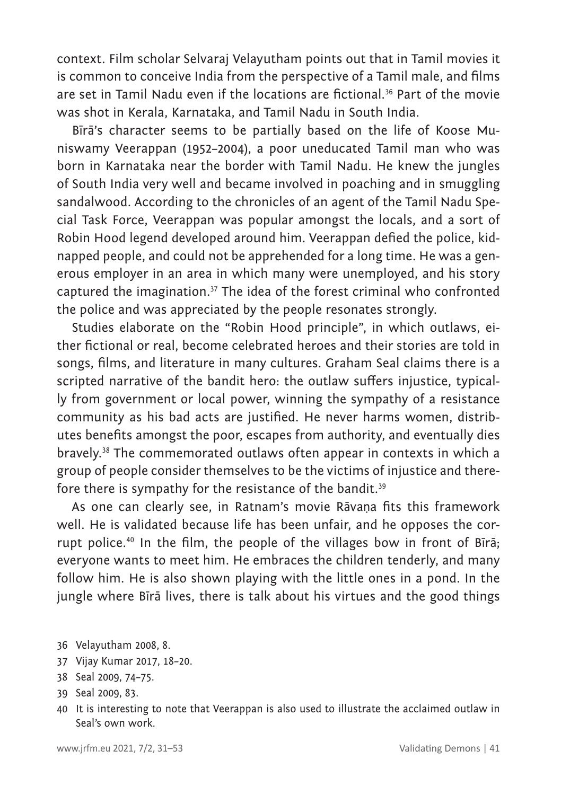context. Film scholar Selvaraj Velayutham points out that in Tamil movies it is common to conceive India from the perspective of a Tamil male, and films are set in Tamil Nadu even if the locations are fictional.<sup>36</sup> Part of the movie was shot in Kerala, Karnataka, and Tamil Nadu in South India.

Bīrā's character seems to be partially based on the life of Koose Muniswamy Veerappan (1952–2004), a poor uneducated Tamil man who was born in Karnataka near the border with Tamil Nadu. He knew the jungles of South India very well and became involved in poaching and in smuggling sandalwood. According to the chronicles of an agent of the Tamil Nadu Special Task Force, Veerappan was popular amongst the locals, and a sort of Robin Hood legend developed around him. Veerappan defied the police, kidnapped people, and could not be apprehended for a long time. He was a generous employer in an area in which many were unemployed, and his story captured the imagination.37 The idea of the forest criminal who confronted the police and was appreciated by the people resonates strongly.

Studies elaborate on the "Robin Hood principle", in which outlaws, either fictional or real, become celebrated heroes and their stories are told in songs, films, and literature in many cultures. Graham Seal claims there is a scripted narrative of the bandit hero: the outlaw suffers injustice, typically from government or local power, winning the sympathy of a resistance community as his bad acts are justified. He never harms women, distributes benefits amongst the poor, escapes from authority, and eventually dies bravely.<sup>38</sup> The commemorated outlaws often appear in contexts in which a group of people consider themselves to be the victims of injustice and therefore there is sympathy for the resistance of the bandit.<sup>39</sup>

As one can clearly see, in Ratnam's movie Rāvaṇa fits this framework well. He is validated because life has been unfair, and he opposes the corrupt police.40 In the film, the people of the villages bow in front of Bīrā; everyone wants to meet him. He embraces the children tenderly, and many follow him. He is also shown playing with the little ones in a pond. In the jungle where Bīrā lives, there is talk about his virtues and the good things

- 37 Vijay Kumar 2017, 18–20.
- 38 Seal 2009, 74–75.
- 39 Seal 2009, 83.
- 40 It is interesting to note that Veerappan is also used to illustrate the acclaimed outlaw in Seal's own work.

<sup>36</sup> Velayutham 2008, 8.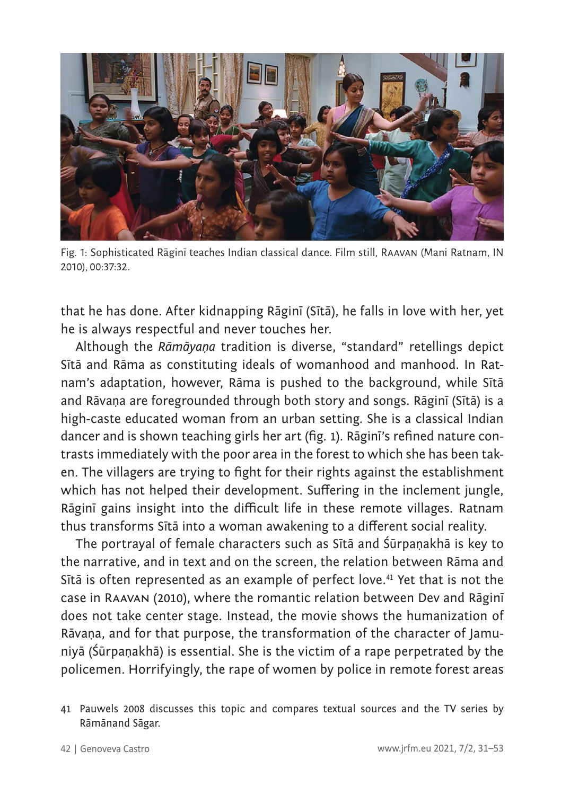

Fig. 1: Sophisticated Rāginī teaches Indian classical dance. Film still, Raavan (Mani Ratnam, IN 2010), 00:37:32.

that he has done. After kidnapping Rāginī (Sītā), he falls in love with her, yet he is always respectful and never touches her.

Although the *Rāmāyaṇa* tradition is diverse, "standard" retellings depict Sītā and Rāma as constituting ideals of womanhood and manhood. In Ratnam's adaptation, however, Rāma is pushed to the background, while Sītā and Rāvaṇa are foregrounded through both story and songs. Rāginī (Sītā) is a high-caste educated woman from an urban setting. She is a classical Indian dancer and is shown teaching girls her art (fig. 1). Rāginī's refined nature contrasts immediately with the poor area in the forest to which she has been taken. The villagers are trying to fight for their rights against the establishment which has not helped their development. Suffering in the inclement jungle, Rāginī gains insight into the difficult life in these remote villages. Ratnam thus transforms Sītā into a woman awakening to a different social reality.

The portrayal of female characters such as Sītā and Śūrpaṇakhā is key to the narrative, and in text and on the screen, the relation between Rāma and Sītā is often represented as an example of perfect love.<sup>41</sup> Yet that is not the case in Raavan (2010), where the romantic relation between Dev and Rāginī does not take center stage. Instead, the movie shows the humanization of Rāvaṇa, and for that purpose, the transformation of the character of Jamuniyā (Śūrpaṇakhā) is essential. She is the victim of a rape perpetrated by the policemen. Horrifyingly, the rape of women by police in remote forest areas

<sup>41</sup> Pauwels 2008 discusses this topic and compares textual sources and the TV series by Rāmānand Sāgar.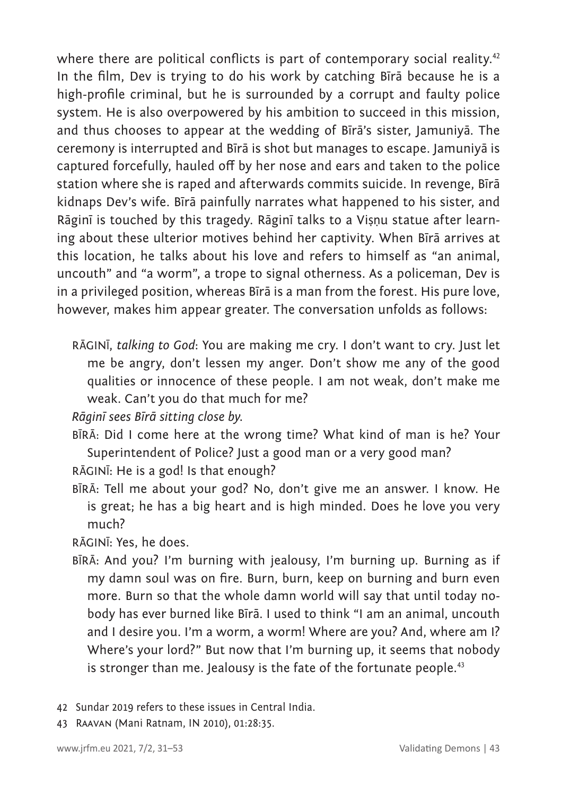where there are political conflicts is part of contemporary social reality.<sup>42</sup> In the film, Dev is trying to do his work by catching Bīrā because he is a high-profile criminal, but he is surrounded by a corrupt and faulty police system. He is also overpowered by his ambition to succeed in this mission, and thus chooses to appear at the wedding of Bīrā's sister, Jamuniyā. The ceremony is interrupted and Bīrā is shot but manages to escape. Jamuniyā is captured forcefully, hauled off by her nose and ears and taken to the police station where she is raped and afterwards commits suicide. In revenge, Bīrā kidnaps Dev's wife. Bīrā painfully narrates what happened to his sister, and Rāginī is touched by this tragedy. Rāginī talks to a Viṣṇu statue after learning about these ulterior motives behind her captivity. When Bīrā arrives at this location, he talks about his love and refers to himself as "an animal, uncouth" and "a worm", a trope to signal otherness. As a policeman, Dev is in a privileged position, whereas Bīrā is a man from the forest. His pure love, however, makes him appear greater. The conversation unfolds as follows:

RĀGINĪ, *talking to God*: You are making me cry. I don't want to cry. Just let me be angry, don't lessen my anger. Don't show me any of the good qualities or innocence of these people. I am not weak, don't make me weak. Can't you do that much for me?

*Rāginī sees Bīrā sitting close by.*

- BĪRĀ: Did I come here at the wrong time? What kind of man is he? Your Superintendent of Police? Just a good man or a very good man?
- RĀGINĪ: He is a god! Is that enough?
- BĪRĀ: Tell me about your god? No, don't give me an answer. I know. He is great; he has a big heart and is high minded. Does he love you very much?

RĀGINĪ: Yes, he does.

- BĪRĀ: And you? I'm burning with jealousy, I'm burning up. Burning as if my damn soul was on fire. Burn, burn, keep on burning and burn even more. Burn so that the whole damn world will say that until today nobody has ever burned like Bīrā. I used to think "I am an animal, uncouth and I desire you. I'm a worm, a worm! Where are you? And, where am I? Where's your lord?" But now that I'm burning up, it seems that nobody is stronger than me. Jealousy is the fate of the fortunate people.<sup>43</sup>
- 42 Sundar 2019 refers to these issues in Central India.
- 43 Raavan (Mani Ratnam, IN 2010), 01:28:35.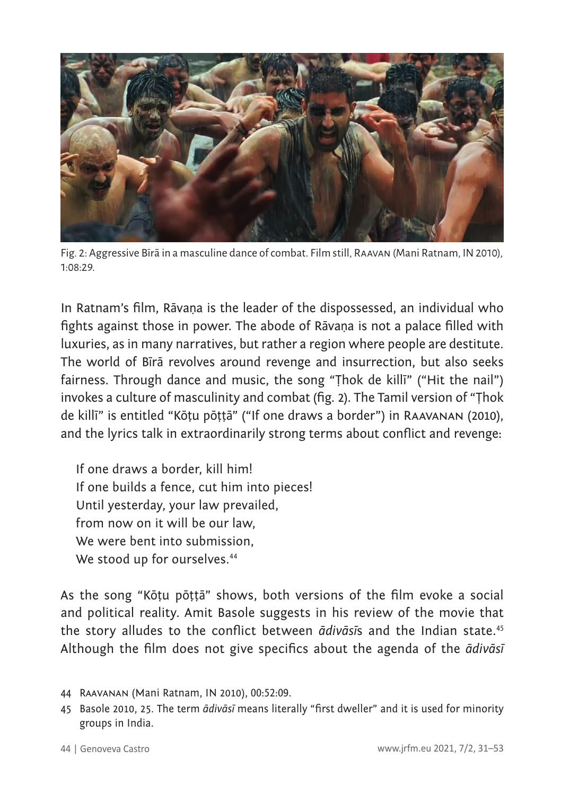

Fig. 2: Aggressive Bīrā in a masculine dance of combat. Film still, Raavan (Mani Ratnam, IN 2010), 1:08:29.

In Ratnam's film, Rāvaṇa is the leader of the dispossessed, an individual who fights against those in power. The abode of Rāvaṇa is not a palace filled with luxuries, as in many narratives, but rather a region where people are destitute. The world of Bīrā revolves around revenge and insurrection, but also seeks fairness. Through dance and music, the song "Ṭhok de killī" ("Hit the nail") invokes a culture of masculinity and combat (fig. 2). The Tamil version of "Ṭhok de killī" is entitled "Kōṭu pōṭṭā" ("If one draws a border") in Raavanan (2010), and the lyrics talk in extraordinarily strong terms about conflict and revenge:

If one draws a border, kill him! If one builds a fence, cut him into pieces! Until yesterday, your law prevailed, from now on it will be our law, We were bent into submission, We stood up for ourselves.<sup>44</sup>

As the song "Kōṭu pōṭṭā" shows, both versions of the film evoke a social and political reality. Amit Basole suggests in his review of the movie that the story alludes to the conflict between *ādivāsī*s and the Indian state.<sup>45</sup> Although the film does not give specifics about the agenda of the *ādivāsī*

<sup>44</sup> Raavanan (Mani Ratnam, IN 2010), 00:52:09.

<sup>45</sup> Basole 2010, 25. The term *ādivāsī* means literally "first dweller" and it is used for minority groups in India.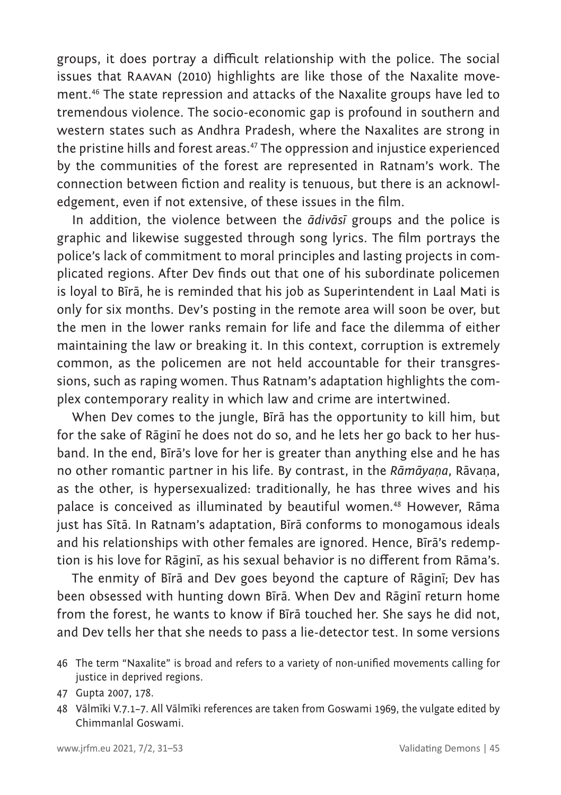groups, it does portray a difficult relationship with the police. The social issues that Raavan (2010) highlights are like those of the Naxalite movement.46 The state repression and attacks of the Naxalite groups have led to tremendous violence. The socio-economic gap is profound in southern and western states such as Andhra Pradesh, where the Naxalites are strong in the pristine hills and forest areas.<sup>47</sup> The oppression and injustice experienced by the communities of the forest are represented in Ratnam's work. The connection between fiction and reality is tenuous, but there is an acknowledgement, even if not extensive, of these issues in the film.

In addition, the violence between the *ādivāsī* groups and the police is graphic and likewise suggested through song lyrics. The film portrays the police's lack of commitment to moral principles and lasting projects in complicated regions. After Dev finds out that one of his subordinate policemen is loyal to Bīrā, he is reminded that his job as Superintendent in Laal Mati is only for six months. Dev's posting in the remote area will soon be over, but the men in the lower ranks remain for life and face the dilemma of either maintaining the law or breaking it. In this context, corruption is extremely common, as the policemen are not held accountable for their transgressions, such as raping women. Thus Ratnam's adaptation highlights the complex contemporary reality in which law and crime are intertwined.

When Dev comes to the jungle, Bīrā has the opportunity to kill him, but for the sake of Rāginī he does not do so, and he lets her go back to her husband. In the end, Bīrā's love for her is greater than anything else and he has no other romantic partner in his life. By contrast, in the *Rāmāyaṇa*, Rāvaṇa, as the other, is hypersexualized: traditionally, he has three wives and his palace is conceived as illuminated by beautiful women.<sup>48</sup> However, Rāma just has Sītā. In Ratnam's adaptation, Bīrā conforms to monogamous ideals and his relationships with other females are ignored. Hence, Bīrā's redemption is his love for Rāginī, as his sexual behavior is no different from Rāma's.

The enmity of Bīrā and Dev goes beyond the capture of Rāginī; Dev has been obsessed with hunting down Bīrā. When Dev and Rāginī return home from the forest, he wants to know if Bīrā touched her. She says he did not, and Dev tells her that she needs to pass a lie-detector test. In some versions

<sup>46</sup> The term "Naxalite" is broad and refers to a variety of non-unified movements calling for justice in deprived regions.

<sup>47</sup> Gupta 2007, 178.

<sup>48</sup> Vālmīki V.7.1–7. All Vālmīki references are taken from Goswami 1969, the vulgate edited by Chimmanlal Goswami.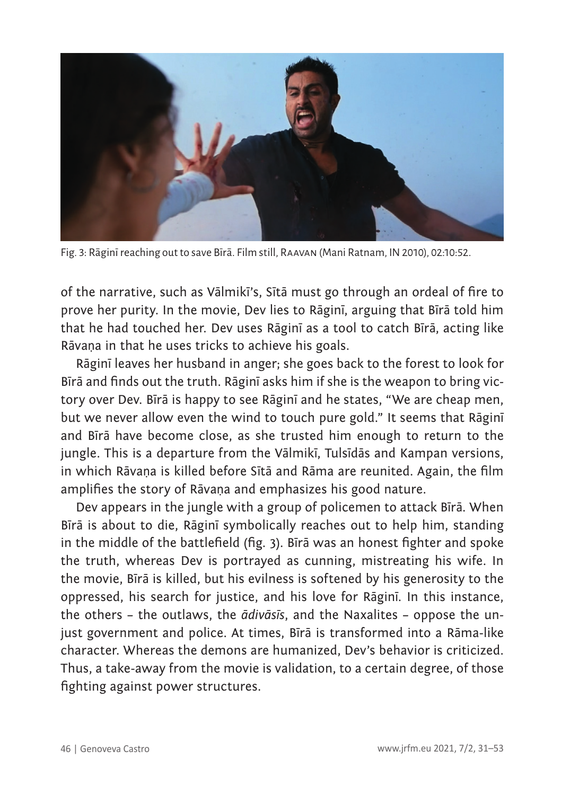

Fig. 3: Rāginī reaching out to save Bīrā. Film still, Raavan (Mani Ratnam, IN 2010), 02:10:52.

of the narrative, such as Vālmikī's, Sītā must go through an ordeal of fire to prove her purity. In the movie, Dev lies to Rāginī, arguing that Bīrā told him that he had touched her. Dev uses Rāginī as a tool to catch Bīrā, acting like Rāvaṇa in that he uses tricks to achieve his goals.

Rāginī leaves her husband in anger; she goes back to the forest to look for Bīrā and finds out the truth. Rāginī asks him if she is the weapon to bring victory over Dev. Bīrā is happy to see Rāginī and he states, "We are cheap men, but we never allow even the wind to touch pure gold." It seems that Rāginī and Bīrā have become close, as she trusted him enough to return to the jungle. This is a departure from the Vālmikī, Tulsīdās and Kampan versions, in which Rāvaṇa is killed before Sītā and Rāma are reunited. Again, the film amplifies the story of Rāvana and emphasizes his good nature.

Dev appears in the jungle with a group of policemen to attack Bīrā. When Bīrā is about to die, Rāginī symbolically reaches out to help him, standing in the middle of the battlefield (fig. 3). Bīrā was an honest fighter and spoke the truth, whereas Dev is portrayed as cunning, mistreating his wife. In the movie, Bīrā is killed, but his evilness is softened by his generosity to the oppressed, his search for justice, and his love for Rāginī. In this instance, the others – the outlaws, the *ādivāsīs*, and the Naxalites – oppose the unjust government and police. At times, Bīrā is transformed into a Rāma-like character. Whereas the demons are humanized, Dev's behavior is criticized. Thus, a take-away from the movie is validation, to a certain degree, of those fighting against power structures.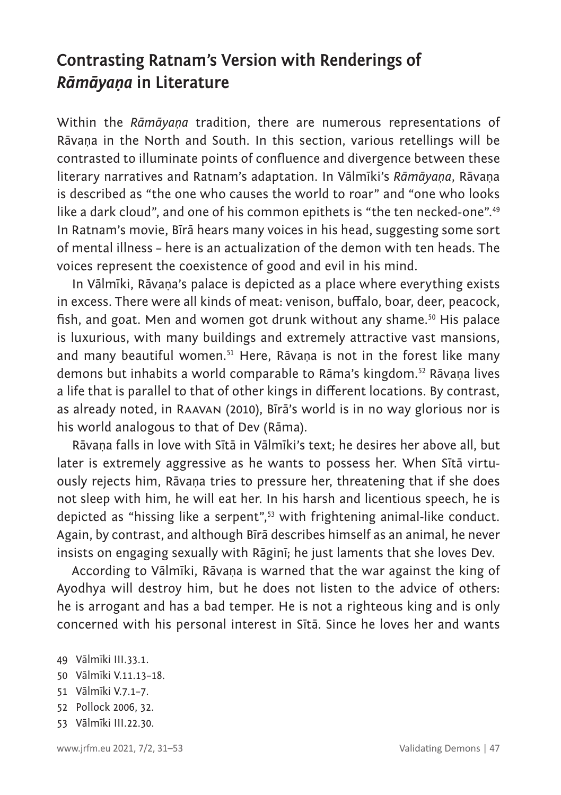### **Contrasting Ratnam's Version with Renderings of**  *Rāmāyaṇa* **in Literature**

Within the *Rāmāyaṇa* tradition, there are numerous representations of Rāvaṇa in the North and South. In this section, various retellings will be contrasted to illuminate points of confluence and divergence between these literary narratives and Ratnam's adaptation. In Vālmīki's *Rāmāyaṇa*, Rāvaṇa is described as "the one who causes the world to roar" and "one who looks like a dark cloud", and one of his common epithets is "the ten necked-one".<sup>49</sup> In Ratnam's movie, Bīrā hears many voices in his head, suggesting some sort of mental illness – here is an actualization of the demon with ten heads. The voices represent the coexistence of good and evil in his mind.

In Vālmīki, Rāvaṇa's palace is depicted as a place where everything exists in excess. There were all kinds of meat: venison, buffalo, boar, deer, peacock, fish, and goat. Men and women got drunk without any shame.<sup>50</sup> His palace is luxurious, with many buildings and extremely attractive vast mansions, and many beautiful women.<sup>51</sup> Here, Rāvaṇa is not in the forest like many demons but inhabits a world comparable to Rāma's kingdom.52 Rāvaṇa lives a life that is parallel to that of other kings in different locations. By contrast, as already noted, in Raavan (2010), Bīrā's world is in no way glorious nor is his world analogous to that of Dev (Rāma).

Rāvaṇa falls in love with Sītā in Vālmīki's text; he desires her above all, but later is extremely aggressive as he wants to possess her. When Sītā virtuously rejects him, Rāvana tries to pressure her, threatening that if she does not sleep with him, he will eat her. In his harsh and licentious speech, he is depicted as "hissing like a serpent",53 with frightening animal-like conduct. Again, by contrast, and although Bīrā describes himself as an animal, he never insists on engaging sexually with Rāginī; he just laments that she loves Dev.

According to Vālmīki, Rāvaṇa is warned that the war against the king of Ayodhya will destroy him, but he does not listen to the advice of others: he is arrogant and has a bad temper. He is not a righteous king and is only concerned with his personal interest in Sītā. Since he loves her and wants

- 51 Vālmīki V.7.1–7.
- 52 Pollock 2006, 32.
- 53 Vālmīki III.22.30.

<sup>49</sup> Vālmīki III.33.1.

<sup>50</sup> Vālmīki V.11.13–18.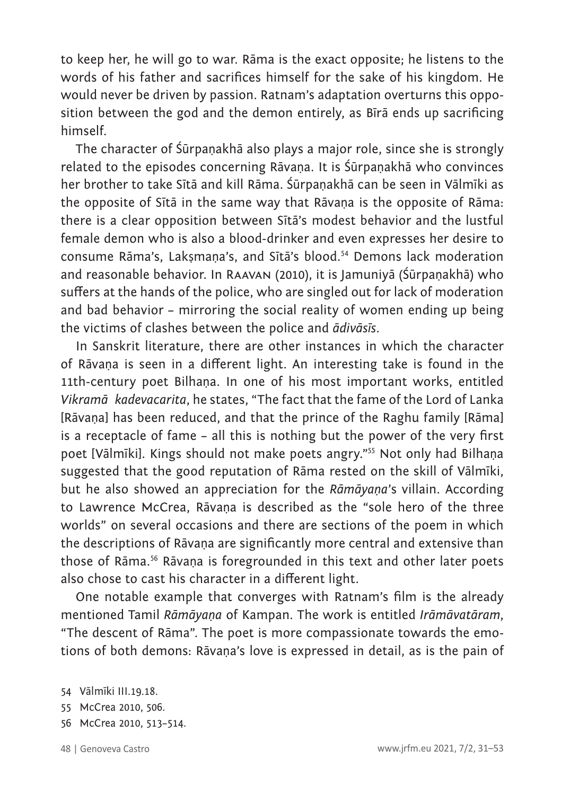to keep her, he will go to war. Rāma is the exact opposite; he listens to the words of his father and sacrifices himself for the sake of his kingdom. He would never be driven by passion. Ratnam's adaptation overturns this opposition between the god and the demon entirely, as Bīrā ends up sacrificing himself.

The character of Śūrpaṇakhā also plays a major role, since she is strongly related to the episodes concerning Rāvaṇa. It is Śūrpaṇakhā who convinces her brother to take Sītā and kill Rāma. Śūrpaṇakhā can be seen in Vālmīki as the opposite of Sītā in the same way that Rāvaṇa is the opposite of Rāma: there is a clear opposition between Sītā's modest behavior and the lustful female demon who is also a blood-drinker and even expresses her desire to consume Rāma's, Lakṣmaṇa's, and Sītā's blood.54 Demons lack moderation and reasonable behavior. In Raavan (2010), it is Jamuniyā (Śūrpaṇakhā) who suffers at the hands of the police, who are singled out for lack of moderation and bad behavior – mirroring the social reality of women ending up being the victims of clashes between the police and *ādivāsīs*.

In Sanskrit literature, there are other instances in which the character of Rāvaṇa is seen in a different light. An interesting take is found in the 11th-century poet Bilhana. In one of his most important works, entitled *Vikramāṅkadevacarita*, he states, "The fact that the fame of the Lord of Lanka [Rāvaṇa] has been reduced, and that the prince of the Raghu family [Rāma] is a receptacle of fame – all this is nothing but the power of the very first poet [Vālmīki]. Kings should not make poets angry."55 Not only had Bilhaṇa suggested that the good reputation of Rāma rested on the skill of Vālmīki, but he also showed an appreciation for the *Rāmāyaṇa*'s villain. According to Lawrence McCrea, Rāvaṇa is described as the "sole hero of the three worlds" on several occasions and there are sections of the poem in which the descriptions of Rāvaṇa are significantly more central and extensive than those of Rāma.<sup>56</sup> Rāvana is foregrounded in this text and other later poets also chose to cast his character in a different light.

One notable example that converges with Ratnam's film is the already mentioned Tamil *Rāmāyaṇa* of Kampan. The work is entitled *Irāmāvatāram*, "The descent of Rāma". The poet is more compassionate towards the emotions of both demons: Rāvaṇa's love is expressed in detail, as is the pain of

- 56 McCrea 2010, 513–514.
- 

<sup>54</sup> Vālmīki III.19.18.

<sup>55</sup> McCrea 2010, 506.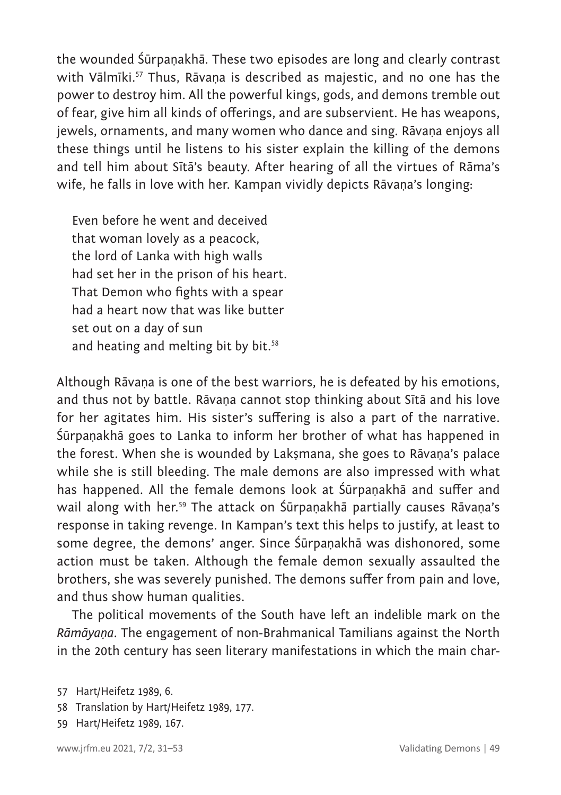the wounded Śūrpaṇakhā. These two episodes are long and clearly contrast with Vālmīki.<sup>57</sup> Thus, Rāvaṇa is described as majestic, and no one has the power to destroy him. All the powerful kings, gods, and demons tremble out of fear, give him all kinds of offerings, and are subservient. He has weapons, jewels, ornaments, and many women who dance and sing. Rāvana enjoys all these things until he listens to his sister explain the killing of the demons and tell him about Sītā's beauty. After hearing of all the virtues of Rāma's wife, he falls in love with her. Kampan vividly depicts Rāvana's longing:

Even before he went and deceived that woman lovely as a peacock, the lord of Lanka with high walls had set her in the prison of his heart. That Demon who fights with a spear had a heart now that was like butter set out on a day of sun and heating and melting bit by bit.<sup>58</sup>

Although Rāvana is one of the best warriors, he is defeated by his emotions, and thus not by battle. Rāvaṇa cannot stop thinking about Sītā and his love for her agitates him. His sister's suffering is also a part of the narrative. Śūrpaṇakhā goes to Lanka to inform her brother of what has happened in the forest. When she is wounded by Lakṣmana, she goes to Rāvaṇa's palace while she is still bleeding. The male demons are also impressed with what has happened. All the female demons look at Śūrpaṇakhā and suffer and wail along with her.<sup>59</sup> The attack on Śūrpanakhā partially causes Rāvana's response in taking revenge. In Kampan's text this helps to justify, at least to some degree, the demons' anger. Since Śūrpaṇakhā was dishonored, some action must be taken. Although the female demon sexually assaulted the brothers, she was severely punished. The demons suffer from pain and love, and thus show human qualities.

The political movements of the South have left an indelible mark on the *Rāmāyaṇa*. The engagement of non-Brahmanical Tamilians against the North in the 20th century has seen literary manifestations in which the main char-

- 58 Translation by Hart/Heifetz 1989, 177.
- 59 Hart/Heifetz 1989, 167.

<sup>57</sup> Hart/Heifetz 1989, 6.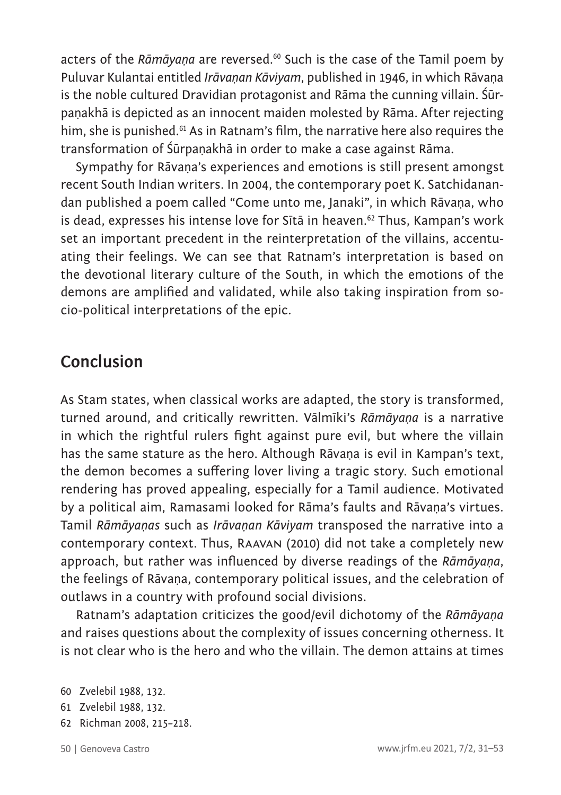acters of the *Rāmāyaṇa* are reversed.60 Such is the case of the Tamil poem by Puluvar Kulantai entitled *Irāvaṇan Kāviyam*, published in 1946, in which Rāvaṇa is the noble cultured Dravidian protagonist and Rāma the cunning villain. Śūrpaṇakhā is depicted as an innocent maiden molested by Rāma. After rejecting him, she is punished.<sup>61</sup> As in Ratnam's film, the narrative here also requires the transformation of Śūrpaṇakhā in order to make a case against Rāma.

Sympathy for Rāvana's experiences and emotions is still present amongst recent South Indian writers. In 2004, the contemporary poet K. Satchidanandan published a poem called "Come unto me, Janaki", in which Rāvaṇa, who is dead, expresses his intense love for Sītā in heaven.<sup>62</sup> Thus, Kampan's work set an important precedent in the reinterpretation of the villains, accentuating their feelings. We can see that Ratnam's interpretation is based on the devotional literary culture of the South, in which the emotions of the demons are amplified and validated, while also taking inspiration from socio-political interpretations of the epic.

### **Conclusion**

As Stam states, when classical works are adapted, the story is transformed, turned around, and critically rewritten. Vālmīki's *Rāmāyaṇa* is a narrative in which the rightful rulers fight against pure evil, but where the villain has the same stature as the hero. Although Rāvaṇa is evil in Kampan's text, the demon becomes a suffering lover living a tragic story. Such emotional rendering has proved appealing, especially for a Tamil audience. Motivated by a political aim, Ramasami looked for Rāma's faults and Rāvaṇa's virtues. Tamil *Rāmāyaṇas* such as *Irāvaṇan Kāviyam* transposed the narrative into a contemporary context. Thus, Raavan (2010) did not take a completely new approach, but rather was influenced by diverse readings of the *Rāmāyaṇa*, the feelings of Rāvaṇa, contemporary political issues, and the celebration of outlaws in a country with profound social divisions.

Ratnam's adaptation criticizes the good/evil dichotomy of the *Rāmāyaṇa* and raises questions about the complexity of issues concerning otherness. It is not clear who is the hero and who the villain. The demon attains at times

- 61 Zvelebil 1988, 132.
- 62 Richman 2008, 215–218.
- 

<sup>60</sup> Zvelebil 1988, 132.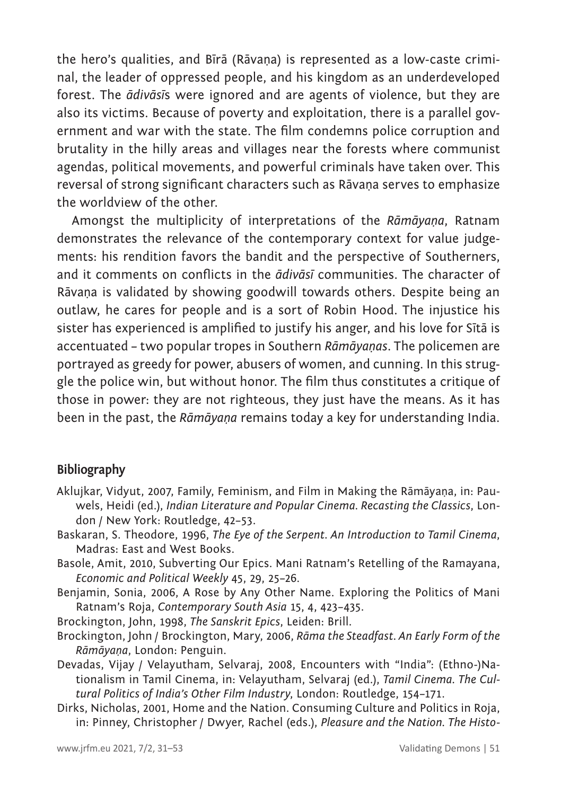the hero's qualities, and Bīrā (Rāvaṇa) is represented as a low-caste criminal, the leader of oppressed people, and his kingdom as an underdeveloped forest. The *ādivāsī*s were ignored and are agents of violence, but they are also its victims. Because of poverty and exploitation, there is a parallel government and war with the state. The film condemns police corruption and brutality in the hilly areas and villages near the forests where communist agendas, political movements, and powerful criminals have taken over. This reversal of strong significant characters such as Rāvaṇa serves to emphasize the worldview of the other.

Amongst the multiplicity of interpretations of the *Rāmāyaṇa*, Ratnam demonstrates the relevance of the contemporary context for value judgements: his rendition favors the bandit and the perspective of Southerners, and it comments on conflicts in the *ādivāsī* communities. The character of Rāvaṇa is validated by showing goodwill towards others. Despite being an outlaw, he cares for people and is a sort of Robin Hood. The injustice his sister has experienced is amplified to justify his anger, and his love for Sītā is accentuated – two popular tropes in Southern *Rāmāyaṇas*. The policemen are portrayed as greedy for power, abusers of women, and cunning. In this struggle the police win, but without honor. The film thus constitutes a critique of those in power: they are not righteous, they just have the means. As it has been in the past, the *Rāmāyaṇa* remains today a key for understanding India.

#### **Bibliography**

- Aklujkar, Vidyut, 2007, Family, Feminism, and Film in Making the Rāmāyaṇa, in: Pauwels, Heidi (ed.), *Indian Literature and Popular Cinema. Recasting the Classics*, London / New York: Routledge, 42–53.
- Baskaran, S. Theodore, 1996, *The Eye of the Serpent. An Introduction to Tamil Cinema*, Madras: East and West Books.
- Basole, Amit, 2010, Subverting Our Epics. Mani Ratnam's Retelling of the Ramayana, *Economic and Political Weekly* 45, 29, 25–26.
- Benjamin, Sonia, 2006, A Rose by Any Other Name. Exploring the Politics of Mani Ratnam's Roja, *Contemporary South Asia* 15, 4, 423–435.
- Brockington, John, 1998, *The Sanskrit Epics*, Leiden: Brill.
- Brockington, John / Brockington, Mary, 2006, *Rāma the Steadfast. An Early Form of the Rāmāyaṇa*, London: Penguin.
- Devadas, Vijay / Velayutham, Selvaraj, 2008, Encounters with "India": (Ethno-)Nationalism in Tamil Cinema, in: Velayutham, Selvaraj (ed.), *Tamil Cinema. The Cultural Politics of India's Other Film Industry*, London: Routledge, 154–171.
- Dirks, Nicholas, 2001, Home and the Nation. Consuming Culture and Politics in Roja, in: Pinney, Christopher / Dwyer, Rachel (eds.), *Pleasure and the Nation. The Histo-*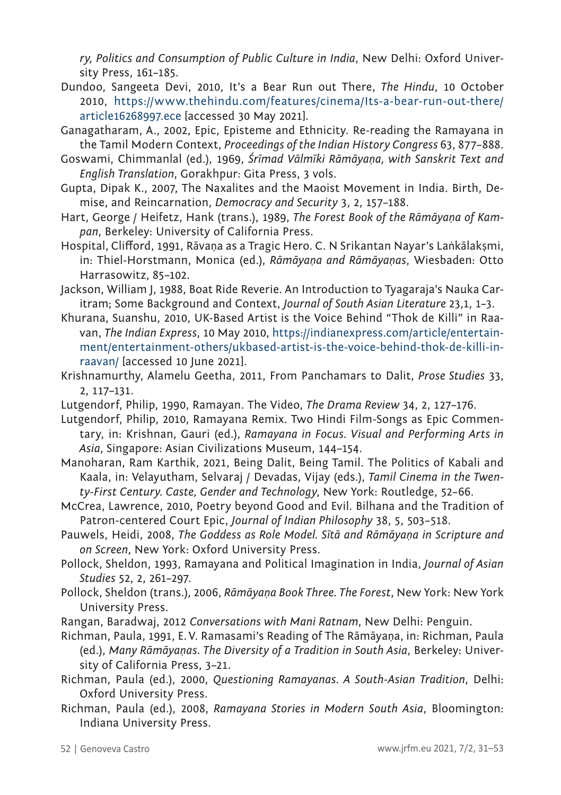*ry, Politics and Consumption of Public Culture in India*, New Delhi: Oxford University Press, 161–185.

- Dundoo, Sangeeta Devi, 2010, It's a Bear Run out There, *The Hindu*, 10 October 2010, [https://www.thehindu.com/features/cinema/Its-a-bear-run-out-there/](https://www.thehindu.com/features/cinema/Its-a-bear-run-out-there/article16268997.ece) [article16268997.ece](https://www.thehindu.com/features/cinema/Its-a-bear-run-out-there/article16268997.ece) [accessed 30 May 2021].
- Ganagatharam, A., 2002, Epic, Episteme and Ethnicity. Re-reading the Ramayana in the Tamil Modern Context, *Proceedings of the Indian History Congress* 63, 877–888.
- Goswami, Chimmanlal (ed.), 1969, *Śrīmad Vālmīki Rāmāyaṇa, with Sanskrit Text and English Translation*, Gorakhpur: Gita Press, 3 vols.
- Gupta, Dipak K., 2007, The Naxalites and the Maoist Movement in India. Birth, Demise, and Reincarnation, *Democracy and Security* 3, 2, 157–188.
- Hart, George / Heifetz, Hank (trans.), 1989, *The Forest Book of the Rāmāyaṇa of Kampan*, Berkeley: University of California Press.
- Hospital, Clifford, 1991, Rāvaṇa as a Tragic Hero. C. N Srikantan Nayar's Laṅkālakṣmi, in: Thiel-Horstmann, Monica (ed.), *Rāmāyaṇa and Rāmāyaṇas*, Wiesbaden: Otto Harrasowitz, 85–102.
- Jackson, William J, 1988, Boat Ride Reverie. An Introduction to Tyagaraja's Nauka Caritram; Some Background and Context, *Journal of South Asian Literature* 23,1, 1–3.
- Khurana, Suanshu, 2010, UK-Based Artist is the Voice Behind "Thok de Killi" in Raavan, *The Indian Express*, 10 May 2010, [https://indianexpress.com/article/entertain](https://indianexpress.com/article/entertainment/entertainment-others/ukbased-artist-is-the-voice-behind-thok-de-killi-in-raavan/)[ment/entertainment-others/ukbased-artist-is-the-voice-behind-thok-de-killi-in](https://indianexpress.com/article/entertainment/entertainment-others/ukbased-artist-is-the-voice-behind-thok-de-killi-in-raavan/)[raavan/](https://indianexpress.com/article/entertainment/entertainment-others/ukbased-artist-is-the-voice-behind-thok-de-killi-in-raavan/) [accessed 10 June 2021].
- Krishnamurthy, Alamelu Geetha, 2011, From Panchamars to Dalit, *Prose Studies* 33, 2, 117–131.
- Lutgendorf, Philip, 1990, Ramayan. The Video, *The Drama Review* 34, 2, 127–176.
- Lutgendorf, Philip, 2010, Ramayana Remix. Two Hindi Film-Songs as Epic Commentary, in: Krishnan, Gauri (ed.), *Ramayana in Focus. Visual and Performing Arts in Asia*, Singapore: Asian Civilizations Museum, 144–154.
- Manoharan, Ram Karthik, 2021, Being Dalit, Being Tamil. The Politics of Kabali and Kaala, in: Velayutham, Selvaraj / Devadas, Vijay (eds.), *Tamil Cinema in the Twenty-First Century. Caste, Gender and Technology*, New York: Routledge, 52–66.
- McCrea, Lawrence, 2010, Poetry beyond Good and Evil. Bilhana and the Tradition of Patron-centered Court Epic, *Journal of Indian Philosophy* 38, 5, 503–518.
- Pauwels, Heidi, 2008, *The Goddess as Role Model. Sītā and Rāmāyaṇa in Scripture and on Screen*, New York: Oxford University Press.
- Pollock, Sheldon, 1993, Ramayana and Political Imagination in India, *Journal of Asian Studies* 52, 2, 261–297.
- Pollock, Sheldon (trans.), 2006, *Rāmāyaṇa Book Three. The Forest*, New York: New York University Press.
- Rangan, Baradwaj, 2012 *Conversations with Mani Ratnam*, New Delhi: Penguin.
- Richman, Paula, 1991, E.V. Ramasami's Reading of The Rāmāyaṇa, in: Richman, Paula (ed.), *Many Rāmāyaṇas. The Diversity of a Tradition in South Asia*, Berkeley: University of California Press, 3–21.
- Richman, Paula (ed.), 2000, *Questioning Ramayanas. A South-Asian Tradition*, Delhi: Oxford University Press.
- Richman, Paula (ed.), 2008, *Ramayana Stories in Modern South Asia*, Bloomington: Indiana University Press.